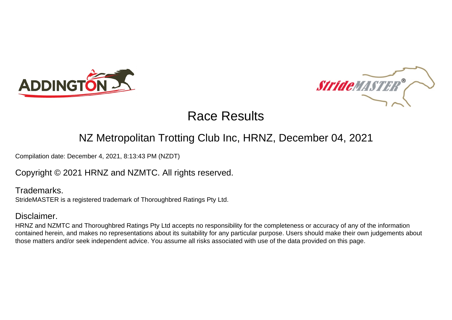



### NZ Metropolitan Trotting Club Inc, HRNZ, December 04, 2021

Compilation date: December 4, 2021, 8:13:43 PM (NZDT)

Copyright © 2021 HRNZ and NZMTC. All rights reserved.

Trademarks. StrideMASTER is a registered trademark of Thoroughbred Ratings Pty Ltd.

### Disclaimer.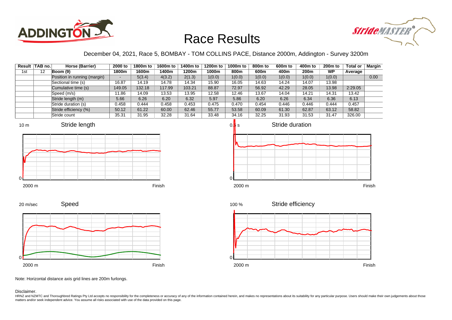



### December 04, 2021, Race 5, BOMBAY - TOM COLLINS PACE, Distance 2000m, Addington - Survey 3200m

|     | Result TAB no. | Horse (Barrier)              | 2000 to | 1800m to | 1600m to | 1400m to | 1200m to | 1000m to | 800m to | 600m to | 400m to | 200 <sub>m</sub> to | <b>Total or</b> | Margin |
|-----|----------------|------------------------------|---------|----------|----------|----------|----------|----------|---------|---------|---------|---------------------|-----------------|--------|
| 1st | 12             | Boom (9)                     | 1800m   | 1600m    | 1400m    | 1200m    | 1000m    | 800m     | 600m    | 400m    | 200m    | <b>WP</b>           | Average         |        |
|     |                | Position in running (margin) |         | 5(3.4)   | 4(3.2)   | 2(1.3)   | 1(0.0)   | 1(0.0)   | 1(0.0)  | 1(0.0)  | 1(0.0)  | 1(0.0)              |                 | 0.00   |
|     |                | Sectional time (s)           | 16.87   | 14.19    | 14.78    | 14.34    | 15.90    | 16.05    | 14.63   | 14.24   | 14.07   | 13.98               |                 |        |
|     |                | Cumulative time (s)          | 149.05  | 132.18   | 117.99   | 103.21   | 88.87    | 72.97    | 56.92   | 42.29   | 28.05   | 13.98               | 2:29.05         |        |
|     |                | Speed (m/s)                  | 11.86   | 14.09    | 13.53    | 13.95    | 12.58    | 12.46    | 13.67   | 14.04   | 14.21   | 14.31               | 13.42           |        |
|     |                | Stride length (m)            | 5.66    | 6.26     | 6.20     | 6.32     | 5.97     | 5.86     | 6.20    | 6.26    | 6.34    | 6.36                | 6.13            |        |
|     |                | Stride duration (s)          | 0.458   | 0.444    | 0.458    | 0.453    | 0.475    | 0.470    | 0.454   | 0.446   | 0.446   | 0.444               | 0.457           |        |
|     |                | Stride efficiency (%)        | 50.12   | 61.22    | 60.00    | 62.46    | 55.77    | 53.58    | 60.09   | 61.30   | 62.87   | 63.12               | 58.82           |        |
|     |                | Stride count                 | 35.31   | 31.95    | 32.28    | 31.64    | 33.48    | 34.16    | 32.25   | 31.93   | 31.53   | 31.47               | 326.00          |        |











### 2000 m Finish



Stride efficiency



Note: Horizontal distance axis grid lines are 200m furlongs.

#### Disclaimer.

0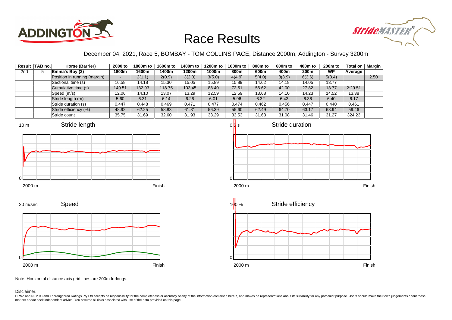



### December 04, 2021, Race 5, BOMBAY - TOM COLLINS PACE, Distance 2000m, Addington - Survey 3200m

|     | Result   TAB no. | Horse (Barrier)              | 2000 to | 1800m to | 1600m to | 1400m to | 1200m to | 1000m to | 800m to | 600 <sub>m</sub> to | 400m to | 200 <sub>m</sub> to | <b>Total or</b> | Margin |
|-----|------------------|------------------------------|---------|----------|----------|----------|----------|----------|---------|---------------------|---------|---------------------|-----------------|--------|
| 2nd | 5                | Emma's Boy (3)               | 1800m   | 1600m    | 1400m    | 1200m    | 1000m    | 800m     | 600m    | 400m                | 200m    | <b>WP</b>           | Average         |        |
|     |                  | Position in running (margin) |         | 2(1.1)   | 2(0.9)   | 3(2.0)   | 3(5.0)   | 4(4.9)   | 5(4.0)  | 8(3.9)              | 6(3.6)  | 5(3.4)              |                 | 2.50   |
|     |                  | Sectional time (s)           | 16.58   | 14.18    | 15.30    | 15.05    | 15.89    | 15.89    | 14.62   | 14.18               | 14.05   | 13.77               |                 |        |
|     |                  | Cumulative time (s)          | 149.51  | 132.93   | 118.75   | 103.45   | 88.40    | 72.51    | 56.62   | 42.00               | 27.82   | 13.77               | 2:29.51         |        |
|     |                  | Speed (m/s)                  | 12.06   | 14.10    | 13.07    | 13.29    | 12.59    | 12.59    | 13.68   | 14.10               | 14.23   | 14.52               | 13.38           |        |
|     |                  | Stride length (m)            | 5.60    | 6.31     | 6.14     | 6.26     | 6.01     | 5.96     | 6.32    | 6.43                | 6.36    | 6.40                | 6.17            |        |
|     |                  | Stride duration (s)          | 0.447   | 0.448    | 0.469    | 0.471    | 0.477    | 0.474    | 0.462   | 0.456               | 0.447   | 0.440               | 0.461           |        |
|     |                  | Stride efficiency (%)        | 48.92   | 62.25    | 58.83    | 61.31    | 56.39    | 55.60    | 62.49   | 64.70               | 63.17   | 63.94               | 59.46           |        |
|     |                  | Stride count                 | 35.75   | 31.69    | 32.60    | 31.93    | 33.29    | 33.53    | 31.63   | 31.08               | 31.46   | 31.27               | 324.23          |        |













Note: Horizontal distance axis grid lines are 200m furlongs.

Disclaimer.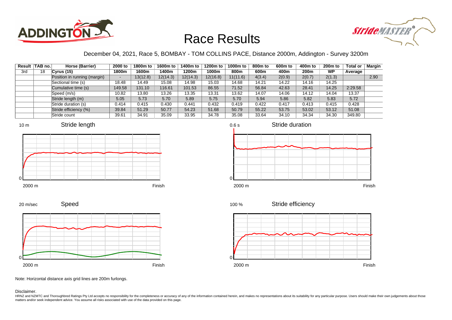



### December 04, 2021, Race 5, BOMBAY - TOM COLLINS PACE, Distance 2000m, Addington - Survey 3200m

|     | Result   TAB no. | Horse (Barrier)              | 2000 to | 1800m to | 1600m to | 1400m to | 1200m to | 1000m to | 800 <sub>m</sub> to | 600m to | 400m to | 200 <sub>m</sub> to | <b>Total or</b> | Margin |
|-----|------------------|------------------------------|---------|----------|----------|----------|----------|----------|---------------------|---------|---------|---------------------|-----------------|--------|
| 3rd | 18               | Cvrus(15)                    | 1800m   | 1600m    | 1400m    | 1200m    | 1000m    | 800m     | 600m                | 400m    | 200m    | WP                  | Average         |        |
|     |                  | Position in running (margin) | -       | 13(12.8) | 12(14.3) | 12(14.3) | 12(16.8) | 11(11.6) | 4(3.4)              | 2(0.9)  | 2(0.7)  | 2(1.3)              |                 | 2.90   |
|     |                  | Sectional time (s)           | 18.48   | 14.49    | 15.08    | 14.98    | 15.03    | 14.68    | 14.21               | 14.22   | 14.16   | 14.25               |                 |        |
|     |                  | Cumulative time (s)          | 149.58  | 131.10   | 116.61   | 101.53   | 86.55    | 71.52    | 56.84               | 42.63   | 28.41   | 14.25               | 2:29.58         |        |
|     |                  | Speed (m/s)                  | 10.82   | 13.80    | 13.26    | 13.35    | 13.31    | 13.62    | 14.07               | 14.06   | 14.12   | 14.04               | 13.37           |        |
|     |                  | Stride length (m)            | 5.05    | 5.73     | 5.70     | 5.89     | 5.75     | 5.70     | 5.94                | 5.86    | 5.82    | 5.83                | 5.72            |        |
|     |                  | Stride duration (s)          | 0.414   | 0.415    | 0.430    | 0.441    | 0.432    | 0.419    | 0.422               | 0.417   | 0.413   | 0.415               | 0.428           |        |
|     |                  | Stride efficiency (%)        | 39.84   | 51.29    | 50.77    | 54.23    | 51.68    | 50.79    | 55.22               | 53.75   | 53.02   | 53.12               | 51.08           |        |
|     |                  | Stride count                 | 39.61   | 34.91    | 35.09    | 33.95    | 34.78    | 35.08    | 33.64               | 34.10   | 34.34   | 34.30               | 349.80          |        |







2000 m Finish

Stride efficiency 100 %



Note: Horizontal distance axis grid lines are 200m furlongs.

Speed

Disclaimer.

0

20 m/sec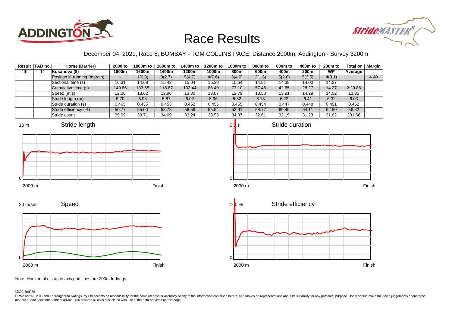



### December 04, 2021, Race 5, BOMBAY - TOM COLLINS PACE, Distance 2000m, Addington - Survey 3200m

| Result | <b>TAB no.</b> | Horse (Barrier)              | 2000 to                  | 1800m to | 1600m to | 1400m to | 1200m to | 1000m to | 800 <sub>m</sub> to | 600 <sub>m</sub> to | 400m to | 200 <sub>m</sub> to | <b>Total or</b> | <b>Margin</b> |
|--------|----------------|------------------------------|--------------------------|----------|----------|----------|----------|----------|---------------------|---------------------|---------|---------------------|-----------------|---------------|
| 4th    |                | Kusanova (8)                 | 1800m                    | 1600m    | 1400m    | 1200m    | 1000m    | 800m     | 600m                | 400m                | 200m    | <b>WP</b>           | Average         |               |
|        |                | Position in running (margin) | $\overline{\phantom{a}}$ | 1(0.0)   | 3(2.7)   | 5(4.7)   | 4(7.6)   | 3(4.0)   | 2(1.6)              | 5(2.6)              | 5(3.5)  | 4(3.1)              |                 | 4.40          |
|        |                | Sectional time (s)           | 16.31                    | 14.68    | 15.43    | 15.04    | 15.30    | 15.64    | 14.81               | 14.38               | 14.00   | 14.27               |                 |               |
|        |                | Cumulative time (s)          | 149.86                   | 133.55   | 118.87   | 103.44   | 88.40    | 73.10    | 57.46               | 42.65               | 28.27   | 14.27               | 2:29.86         |               |
|        |                | Speed (m/s)                  | 12.26                    | 13.62    | 12.96    | 13.30    | 13.07    | 12.79    | 13.50               | 13.91               | 14.29   | 14.02               | 13.35           |               |
|        |                | Stride length (m)            | 5.70                     | 5.93     | 5.87     | 6.02     | 5.96     | 5.82     | 6.13                | 6.22                | 6.41    | 6.32                | 6.03            |               |
|        |                | Stride duration (s)          | 0.465                    | 0.435    | 0.453    | 0.452    | 0.456    | 0.455    | 0.454               | 0.447               | 0.448   | 0.451               | 0.452           |               |
|        |                | Stride efficiency (%)        | 50.77                    | 55.00    | 53.78    | 56.56    | 55.54    | 52.91    | 58.77               | 60.49               | 64.11   | 62.50               | 56.82           |               |
|        |                | Stride count                 | 35.09                    | 33.71    | 34.09    | 33.24    | 33.55    | 34.37    | 32.61               | 32.15               | 31.23   | 31.62               | 331.66          |               |









Note: Horizontal distance axis grid lines are 200m furlongs.

Disclaimer.



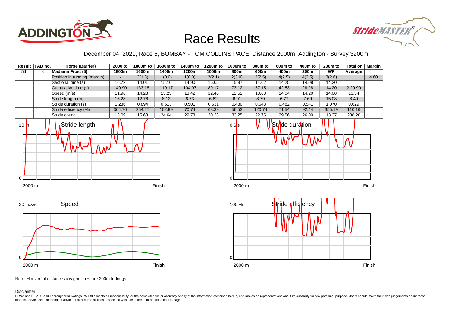



December 04, 2021, Race 5, BOMBAY - TOM COLLINS PACE, Distance 2000m, Addington - Survey 3200m

|          | Result TAB no. | Horse (Barrier)              | 2000 to | 1800m to | 1600m to | 1400m to | 1200m to | 1000m to | 800m to | 600 <sub>m</sub> to    | 400m to          | 200 <sub>m</sub> to | <b>Total or</b> | <b>Margin</b> |
|----------|----------------|------------------------------|---------|----------|----------|----------|----------|----------|---------|------------------------|------------------|---------------------|-----------------|---------------|
| 5th      | 8              | <b>Madame Frost (5)</b>      | 1800m   | 1600m    | 1400m    | 1200m    | 1000m    | 800m     | 600m    | 400m                   | 200 <sub>m</sub> | <b>WP</b>           | Average         |               |
|          |                | Position in running (margin) | $\sim$  | 3(1.3)   | 1(0.0)   | 1(0.0)   | 2(2.1)   | 2(3.0)   | 3(2.5)  | 4(2.5)                 | 4(2.5)           | 3(2.6)              |                 | 4.60          |
|          |                | Sectional time (s)           | 16.72   | 14.01    | 15.10    | 14.90    | 16.05    | 15.97    | 14.62   | 14.25                  | 14.08            | 14.20               |                 |               |
|          |                | Cumulative time (s)          | 149.90  | 133.18   | 119.17   | 104.07   | 89.17    | 73.12    | 57.15   | 42.53                  | 28.28            | 14.20               | 2:29.90         |               |
|          |                | Speed (m/s)                  | 11.96   | 14.28    | 13.25    | 13.42    | 12.46    | 12.52    | 13.68   | 14.04                  | 14.20            | 14.08               | 13.34           |               |
|          |                | Stride length (m)            | 15.28   | 12.76    | 8.12     | 6.73     | 6.62     | 6.01     | 8.79    | 6.77                   | 7.69             | 15.08               | 8.40            |               |
|          |                | Stride duration (s)          | 1.236   | 0.894    | 0.613    | 0.501    | 0.531    | 0.480    | 0.643   | 0.482                  | 0.541            | 1.070               | 0.629           |               |
|          |                | Stride efficiency (%)        | 364.76  | 254.27   | 102.99   | 70.74    | 68.39    | 56.53    | 120.74  | 71.54                  | 92.44            | 355.19              | 110.16          |               |
|          |                | Stride count                 | 13.09   | 15.68    | 24.64    | 29.73    | 30.23    | 33.25    | 22.75   | 29.56                  | 26.00            | 13.27               | 238.20          |               |
| 10 $\ln$ |                | Stride length<br>WV          |         |          |          |          |          | $0.6$ s  |         | <b>Stride duration</b> |                  |                     |                 |               |









Note: Horizontal distance axis grid lines are 200m furlongs.

Disclaimer.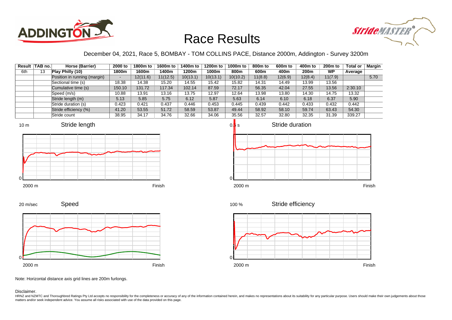



### December 04, 2021, Race 5, BOMBAY - TOM COLLINS PACE, Distance 2000m, Addington - Survey 3200m

|     | Result TAB no. | Horse (Barrier)              | 2000 to | 1800m to | 1600m to | 1400m to | 1200m to | 1000m to | 800m to | 600m to | 400m to          | 200 <sub>m</sub> to | <b>Total or</b> | Margin |
|-----|----------------|------------------------------|---------|----------|----------|----------|----------|----------|---------|---------|------------------|---------------------|-----------------|--------|
| 6th | 13             | Play Philly (10)             | 1800m   | 1600m    | 1400m    | 1200m    | 1000m    | 800m     | 600m    | 400m    | 200 <sub>m</sub> | WP                  | Average         |        |
|     |                | Position in running (margin) | -       | 12(11.6) | 11(12.5) | 10(13.1) | 10(13.1) | 10(10.2) | 11(8.8) | 12(6.9) | 12(8.4)          | 11(7.9)             |                 | 5.70   |
|     |                | Sectional time (s)           | 18.38   | 14.38    | 15.20    | 14.55    | 15.42    | 15.82    | 14.31   | 14.49   | 13.99            | 13.56               |                 |        |
|     |                | Cumulative time (s)          | 150.10  | 131.72   | 117.34   | 102.14   | 87.59    | 72.17    | 56.35   | 42.04   | 27.55            | 13.56               | 2:30.10         |        |
|     |                | Speed (m/s)                  | 10.88   | 13.91    | 13.16    | 13.75    | 12.97    | 12.64    | 13.98   | 13.80   | 14.30            | 14.75               | 13.32           |        |
|     |                | Stride length (m)            | 5.13    | 5.85     | 5.75     | 6.12     | 5.87     | 5.63     | 6.14    | 6.10    | 6.18             | 6.37                | 5.90            |        |
|     |                | Stride duration (s)          | 0.423   | 0.421    | 0.437    | 0.446    | 0.453    | 0.445    | 0.439   | 0.442   | 0.433            | 0.432               | 0.442           |        |
|     |                | Stride efficiency (%)        | 41.20   | 53.55    | 51.72    | 58.59    | 53.87    | 49.44    | 58.92   | 58.10   | 59.74            | 63.43               | 54.30           |        |
|     |                | Stride count                 | 38.95   | 34.17    | 34.76    | 32.66    | 34.06    | 35.56    | 32.57   | 32.80   | 32.35            | 31.39               | 339.27          |        |













Stride efficiency 100 %



Note: Horizontal distance axis grid lines are 200m furlongs.

#### Disclaimer.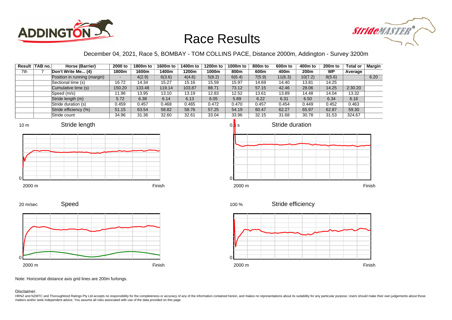



### December 04, 2021, Race 5, BOMBAY - TOM COLLINS PACE, Distance 2000m, Addington - Survey 3200m

|     | Result TAB no. | Horse (Barrier)              | 2000 to                  | 1800m to | 1600m to | 1400m to | 1200m to | 1000m to | 800m to | 600 <sub>m</sub> to | 400m to          | $200m$ to | <b>Total or</b> | Margin |
|-----|----------------|------------------------------|--------------------------|----------|----------|----------|----------|----------|---------|---------------------|------------------|-----------|-----------------|--------|
| 7th |                | Don't Write Me (4)           | 1800m                    | 1600m    | 1400m    | 1200m    | 1000m    | 800m     | 600m    | 400m                | 200 <sub>m</sub> | <b>WP</b> | Average         |        |
|     |                | Position in running (margin) | $\overline{\phantom{0}}$ | 4(2.9)   | 6(3.6)   | 4(4.6)   | 5(8.2)   | 6(6.4)   | 7(5.9)  | 11(6.3)             | 10(7.2)          | 8(5.6)    |                 | 6.20   |
|     |                | Sectional time (s)           | 16.72                    | 14.34    | 15.27    | 15.16    | 15.59    | 15.97    | 14.69   | 14.40               | 13.81            | 14.25     |                 |        |
|     |                | Cumulative time (s)          | 150.20                   | 133.48   | 119.14   | 103.87   | 88.71    | 73.12    | 57.15   | 42.46               | 28.06            | 14.25     | 2:30.20         |        |
|     |                | Speed (m/s)                  | 11.96                    | 13.95    | 13.10    | 13.19    | 12.83    | 12.52    | 13.61   | 13.89               | 14.48            | 14.04     | 13.32           |        |
|     |                | Stride length (m)            | 5.72                     | 6.38     | 6.14     | 6.13     | 6.05     | 5.89     | 6.22    | 6.31                | 6.50             | 6.34      | 6.16            |        |
|     |                | Stride duration (s)          | 0.459                    | 0.457    | 0.468    | 0.465    | 0.472    | 0.470    | 0.457   | 0.454               | 0.449            | 0.452     | 0.463           |        |
|     |                | Stride efficiency (%)        | 51.15                    | 63.54    | 58.82    | 58.76    | 57.25    | 54.19    | 60.47   | 62.27               | 65.97            | 62.87     | 59.30           |        |
|     |                | Stride count                 | 34.96                    | 31.36    | 32.60    | 32.61    | 33.04    | 33.96    | 32.15   | 31.68               | 30.78            | 31.53     | 324.67          |        |







Speed 2000 m Finish 20 m/sec 0

100 %

Stride efficiency



Note: Horizontal distance axis grid lines are 200m furlongs.

Disclaimer.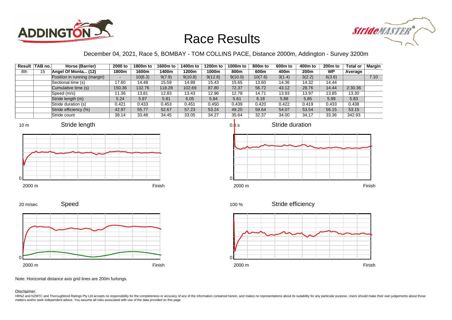



### December 04, 2021, Race 5, BOMBAY - TOM COLLINS PACE, Distance 2000m, Addington - Survey 3200m

|     | Result TAB no. | Horse (Barrier)              | 2000 to | 1800m to | 1600m to | 1400m to | 1200m to | 1000m to | 800m to | 600m to | 400m to | 200 <sub>m</sub> to | <b>Total or</b> | <b>Margin</b> |
|-----|----------------|------------------------------|---------|----------|----------|----------|----------|----------|---------|---------|---------|---------------------|-----------------|---------------|
| 8th | 15             | Angel Of Monta (12)          | 1800m   | 1600m    | 1400m    | 1200m    | 1000m    | 800m     | 600m    | 400m    | 200m    | <b>WP</b>           | Average         |               |
|     |                | Position in running (margin) | -       | 10(6.3)  | 9(7.9)   | 9(10.8)  | 9(12.8)  | 9(10.0)  | 10(7.6) | 3(1.4)  | 3(2.2)  | 6(3.6)              |                 | 7.10          |
|     |                | Sectional time (s)           | 17.60   | 14.48    | 15.59    | 14.89    | 15.43    | 15.65    | 13.60   | 14.36   | 14.32   | 14.44               |                 |               |
|     |                | Cumulative time (s)          | 150.36  | 132.76   | 118.28   | 102.69   | 87.80    | 72.37    | 56.72   | 43.12   | 28.76   | 14.44               | 2:30.36         |               |
|     |                | Speed (m/s)                  | 11.36   | 13.81    | 12.83    | 13.43    | 12.96    | 12.78    | 14.71   | 13.93   | 13.97   | 13.85               | 13.30           |               |
|     |                | Stride length (m)            | 5.24    | 5.97     | 5.81     | 6.05     | 5.84     | 5.61     | 6.18    | 5.88    | 5.85    | 5.99                | 5.83            |               |
|     |                | Stride duration (s)          | 0.421   | 0.433    | 0.453    | 0.451    | 0.450    | 0.439    | 0.420   | 0.422   | 0.419   | 0.433               | 0.438           |               |
|     |                | Stride efficiency (%)        | 42.97   | 55.77    | 52.67    | 57.23    | 53.24    | 49.20    | 59.64   | 54.07   | 53.54   | 56.15               | 53.15           |               |
|     |                | Stride count                 | 38.14   | 33.48    | 34.45    | 33.05    | 34.27    | 35.64    | 32.37   | 34.00   | 34.17   | 33.36               | 342.93          |               |

















Note: Horizontal distance axis grid lines are 200m furlongs.

#### Disclaimer.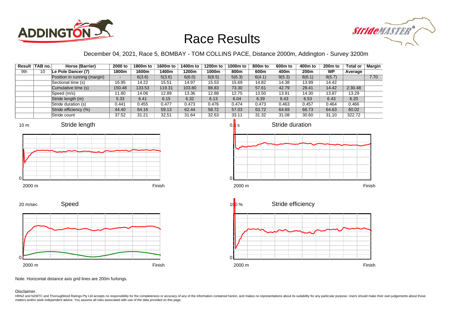



### December 04, 2021, Race 5, BOMBAY - TOM COLLINS PACE, Distance 2000m, Addington - Survey 3200m

|     | Result TAB no. | Horse (Barrier)              | 2000 to | 1800m to | 1600m to | 1400m to | 1200m to | 1000m to | 800m to | 600 <sub>m</sub> to | 400m to          | $200m$ to | <b>Total or</b> | Margin |
|-----|----------------|------------------------------|---------|----------|----------|----------|----------|----------|---------|---------------------|------------------|-----------|-----------------|--------|
| 9th | 10             | Le Pole Dancer (7)           | 1800m   | 1600m    | 1400m    | 1200m    | 1000m    | 800m     | 600m    | 400m                | 200 <sub>m</sub> | <b>WP</b> | Average         |        |
|     |                | Position in running (margin) |         | 6(3.6)   | 5(3.6)   | 6(6.0)   | 6(8.5)   | 5(6.3)   | 6(4.1)  | 9(5.3)              | 8(6.1)           | 9(5.7)    |                 | 7.70   |
|     |                | Sectional time (s)           | 16.95   | 14.22    | 15.51    | 14.97    | 15.53    | 15.69    | 14.82   | 14.38               | 13.99            | 14.42     |                 |        |
|     |                | Cumulative time (s)          | 150.48  | 133.53   | 119.31   | 103.80   | 88.83    | 73.30    | 57.61   | 42.79               | 28.41            | 14.42     | 2:30.48         |        |
|     |                | Speed (m/s)                  | 11.80   | 14.06    | 12.89    | 13.36    | 12.88    | 12.75    | 13.50   | 13.91               | 14.30            | 13.87     | 13.29           |        |
|     |                | Stride length (m)            | 5.33    | 6.41     | 6.15     | 6.32     | 6.13     | 6.04     | 6.39    | 6.43                | 6.53             | 6.43      | 6.20            |        |
|     |                | Stride duration (s)          | 0.441   | 0.455    | 0.477    | 0.473    | 0.476    | 0.474    | 0.473   | 0.463               | 0.457            | 0.464     | 0.466           |        |
|     |                | Stride efficiency (%)        | 44.40   | 64.16    | 59.13    | 62.44    | 58.72    | 57.03    | 63.72   | 64.69               | 66.73            | 64.63     | 60.02           |        |
|     |                | Stride count                 | 37.52   | 31.21    | 32.51    | 31.64    | 32.63    | 33.11    | 31.32   | 31.08               | 30.60            | 31.10     | 322.72          |        |















Note: Horizontal distance axis grid lines are 200m furlongs.

Disclaimer.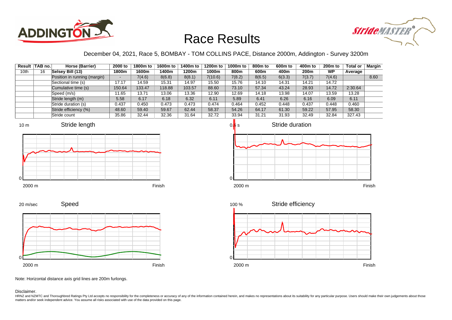



### December 04, 2021, Race 5, BOMBAY - TOM COLLINS PACE, Distance 2000m, Addington - Survey 3200m

|      | Result TAB no. | Horse (Barrier)              | 2000 to | 1800m to | 1600m to | 1400m to | 1200m to | 1000m to | 800m to | 600 <sub>m</sub> to | 400m to | $200m$ to | <b>Total or</b> | Margin |
|------|----------------|------------------------------|---------|----------|----------|----------|----------|----------|---------|---------------------|---------|-----------|-----------------|--------|
| 10th | 16             | Selsey Bill (13)             | 1800m   | 1600m    | 1400m    | 1200m    | 1000m    | 800m     | 600m    | 400m                | 200m    | <b>WP</b> | Average         |        |
|      |                | Position in running (margin) |         | 7(4.6)   | 8(6.8)   | 8(8.1)   | 7(10.6)  | 7(8.2)   | 8(6.5)  | 6(3.3)              | 7(3.7)  | 7(4.6)    |                 | 8.60   |
|      |                | Sectional time (s)           | 17.17   | 14.59    | 15.31    | 14.97    | 15.50    | 15.76    | 14.10   | 14.31               | 14.21   | 14.72     |                 |        |
|      |                | Cumulative time (s)          | 150.64  | 133.47   | 118.88   | 103.57   | 88.60    | 73.10    | 57.34   | 43.24               | 28.93   | 14.72     | 2:30.64         |        |
|      |                | Speed (m/s)                  | 11.65   | 13.71    | 13.06    | 13.36    | 12.90    | 12.69    | 14.18   | 13.98               | 14.07   | 13.59     | 13.28           |        |
|      |                | Stride length (m)            | 5.58    | 6.17     | 6.18     | 6.32     | 6.11     | 5.89     | 6.41    | 6.26                | 6.16    | 6.09      | 6.11            |        |
|      |                | Stride duration (s)          | 0.437   | 0.450    | 0.473    | 0.473    | 0.474    | 0.464    | 0.452   | 0.448               | 0.437   | 0.448     | 0.460           |        |
|      |                | Stride efficiency (%)        | 48.60   | 59.40    | 59.67    | 62.44    | 58.37    | 54.26    | 64.17   | 61.30               | 59.22   | 57.95     | 58.30           |        |
|      |                | Stride count                 | 35.86   | 32.44    | 32.36    | 31.64    | 32.72    | 33.94    | 31.21   | 31.93               | 32.49   | 32.84     | 327.43          |        |











Note: Horizontal distance axis grid lines are 200m furlongs.

#### Disclaimer.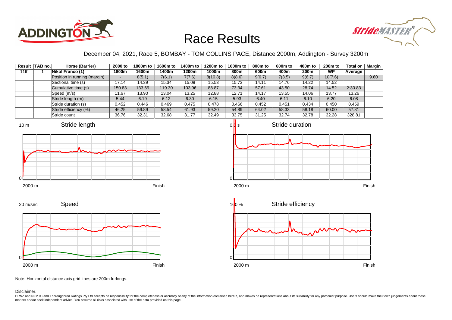



### December 04, 2021, Race 5, BOMBAY - TOM COLLINS PACE, Distance 2000m, Addington - Survey 3200m

|      | Result TAB no. | Horse (Barrier)              | 2000 to | 1800m to | 1600m to | 1400m to | 1200m to | 1000m to | 800m to | 600 <sub>m</sub> to | 400m to          | 200 <sub>m</sub> to | <b>Total or</b> | Margin |
|------|----------------|------------------------------|---------|----------|----------|----------|----------|----------|---------|---------------------|------------------|---------------------|-----------------|--------|
| 11th |                | Nikol Franco (1)             | 1800m   | 1600m    | 1400m    | 1200m    | 1000m    | 800m     | 600m    | 400m                | 200 <sub>m</sub> | <b>WP</b>           | Average         |        |
|      |                | Position in running (margin) |         | 8(5.1)   | 7(6.1)   | 7(7.6)   | 8(10.8)  | 8(8.6)   | 9(6.7)  | 7(3.5)              | 9(6.7)           | 10(7.6)             |                 | 9.60   |
|      |                | Sectional time (s)           | 17.14   | 14.39    | 15.34    | 15.09    | 15.53    | 15.73    | 14.11   | 14.76               | 14.22            | 14.52               |                 |        |
|      |                | Cumulative time (s)          | 150.83  | 133.69   | 119.30   | 103.96   | 88.87    | 73.34    | 57.61   | 43.50               | 28.74            | 14.52               | 2:30.83         |        |
|      |                | Speed (m/s)                  | 11.67   | 13.90    | 13.04    | 13.25    | 12.88    | 12.71    | 14.17   | 13.55               | 14.06            | 13.77               | 13.26           |        |
|      |                | Stride length (m)            | 5.44    | 6.19     | 6.12     | 6.30     | 6.15     | 5.93     | 6.40    | 6.11                | 6.10             | 6.20                | 6.08            |        |
|      |                | Stride duration (s)          | 0.452   | 0.446    | 0.469    | 0.475    | 0.478    | 0.466    | 0.452   | 0.451               | 0.434            | 0.450               | 0.459           |        |
|      |                | Stride efficiency (%)        | 46.25   | 59.89    | 58.54    | 61.93    | 59.20    | 54.89    | 64.02   | 58.33               | 58.18            | 60.00               | 57.81           |        |
|      |                | Stride count                 | 36.76   | 32.31    | 32.68    | 31.77    | 32.49    | 33.75    | 31.25   | 32.74               | 32.78            | 32.28               | 328.81          |        |









Note: Horizontal distance axis grid lines are 200m furlongs.

Disclaimer.

0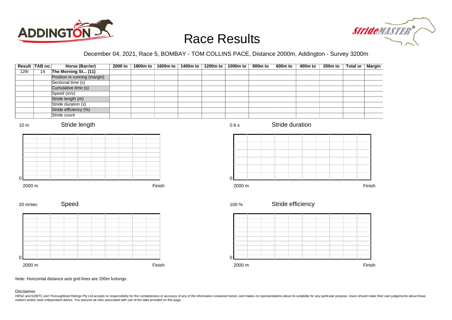



### December 04, 2021, Race 5, BOMBAY - TOM COLLINS PACE, Distance 2000m, Addington - Survey 3200m

| Result TAB no.  |    | Horse (Barrier)              | 2000 to | 1800m to | 1600m to | 1400m to | 1200m to | $1000m$ to | 800m to | 600m to           | 400m to | 200 <sub>m</sub> to | <b>Total or</b> | <b>Margin</b> |
|-----------------|----|------------------------------|---------|----------|----------|----------|----------|------------|---------|-------------------|---------|---------------------|-----------------|---------------|
| 12th            | 14 | The Morning St (11)          |         |          |          |          |          |            |         |                   |         |                     |                 |               |
|                 |    | Position in running (margin) |         |          |          |          |          |            |         |                   |         |                     |                 |               |
|                 |    | Sectional time (s)           |         |          |          |          |          |            |         |                   |         |                     |                 |               |
|                 |    | Cumulative time (s)          |         |          |          |          |          |            |         |                   |         |                     |                 |               |
|                 |    | Speed (m/s)                  |         |          |          |          |          |            |         |                   |         |                     |                 |               |
|                 |    | Stride length (m)            |         |          |          |          |          |            |         |                   |         |                     |                 |               |
|                 |    | Stride duration (s)          |         |          |          |          |          |            |         |                   |         |                     |                 |               |
|                 |    | Stride efficiency (%)        |         |          |          |          |          |            |         |                   |         |                     |                 |               |
|                 |    | Stride count                 |         |          |          |          |          |            |         |                   |         |                     |                 |               |
| 10 <sub>m</sub> |    | Stride length                |         |          |          |          |          | 0.6 s      |         | Stride duration   |         |                     |                 |               |
|                 |    |                              |         |          |          |          |          |            |         |                   |         |                     |                 |               |
|                 |    |                              |         |          |          |          |          |            |         |                   |         |                     |                 |               |
|                 |    |                              |         |          |          |          |          |            |         |                   |         |                     |                 |               |
|                 |    |                              |         |          |          |          |          |            |         |                   |         |                     |                 |               |
|                 |    |                              |         |          |          |          |          |            |         |                   |         |                     |                 |               |
|                 |    |                              |         |          |          |          |          |            |         |                   |         |                     |                 |               |
| $\Omega$        |    |                              |         |          |          |          |          | $\Omega$   |         |                   |         |                     |                 |               |
| 2000 m          |    |                              |         |          | Finish   |          |          | 2000 m     |         |                   |         |                     |                 | Finish        |
|                 |    | Speed                        |         |          |          |          |          |            |         | Stride efficiency |         |                     |                 |               |
| 20 m/sec        |    |                              |         |          |          |          |          | 100 %      |         |                   |         |                     |                 |               |
|                 |    |                              |         |          |          |          |          |            |         |                   |         |                     |                 |               |
|                 |    |                              |         |          |          |          |          |            |         |                   |         |                     |                 |               |
|                 |    |                              |         |          |          |          |          |            |         |                   |         |                     |                 |               |
|                 |    |                              |         |          |          |          |          |            |         |                   |         |                     |                 |               |
|                 |    |                              |         |          |          |          |          |            |         |                   |         |                     |                 |               |
|                 |    |                              |         |          |          |          |          |            |         |                   |         |                     |                 |               |
|                 |    |                              |         |          |          |          |          |            |         |                   |         |                     |                 |               |
| ∩               |    |                              |         |          |          |          |          | $\Omega$   |         |                   |         |                     |                 |               |
| 2000 m          |    |                              |         |          | Finish   |          |          | 2000 m     |         |                   |         |                     |                 | Finish        |

Note: Horizontal distance axis grid lines are 200m furlongs.

Disclaimer.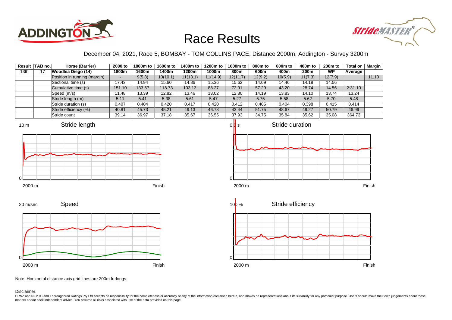



### December 04, 2021, Race 5, BOMBAY - TOM COLLINS PACE, Distance 2000m, Addington - Survey 3200m

| Result | TAB no. | Horse (Barrier)              | 2000 to                  | 1800m to | 1600m to | 1400m to | 1200m to | 1000m to | 800m to | 600 <sub>m</sub> to | 400m to | $200m$ to | <b>Total or</b> | <b>Margin</b> |
|--------|---------|------------------------------|--------------------------|----------|----------|----------|----------|----------|---------|---------------------|---------|-----------|-----------------|---------------|
| 13th   |         | Woodlea Diego (14)           | 1800m                    | 1600m    | 1400m    | 1200m    | 1000m    | 800m     | 600m    | 400m                | 200m    | <b>WP</b> | Average         |               |
|        |         | Position in running (margin) | $\overline{\phantom{a}}$ | 9(5.8)   | 10(10.1) | 11(13.1) | 11(14.9) | 12(11.7) | 12(9.2) | 10(5.9)             | 11(7.3) | 12(7.9)   |                 | 11.10         |
|        |         | Sectional time (s)           | 17.43                    | 14.94    | 15.60    | 14.86    | 15.36    | 15.62    | 14.09   | 14.46               | 14.18   | 14.56     |                 |               |
|        |         | Cumulative time (s)          | 151.10                   | 133.67   | 118.73   | 103.13   | 88.27    | 72.91    | 57.29   | 43.20               | 28.74   | 14.56     | 2:31.10         |               |
|        |         | Speed (m/s)                  | 11.48                    | 13.39    | 12.82    | 13.46    | 13.02    | 12.80    | 14.19   | 13.83               | 14.10   | 13.74     | 13.24           |               |
|        |         | Stride length (m)            | 5.11                     | 5.41     | 5.38     | 5.61     | 5.47     | 5.27     | 5.75    | 5.58                | 5.62    | 5.70      | 5.48            |               |
|        |         | Stride duration (s)          | 0.407                    | 0.404    | 0.420    | 0.417    | 0.420    | 0.412    | 0.405   | 0.404               | 0.398   | 0.415     | 0.414           |               |
|        |         | Stride efficiency (%)        | 40.81                    | 45.73    | 45.21    | 49.13    | 46.78    | 43.44    | 51.75   | 48.67               | 49.27   | 50.79     | 46.99           |               |
|        |         | Stride count                 | 39.14                    | 36.97    | 37.18    | 35.67    | 36.55    | 37.93    | 34.75   | 35.84               | 35.62   | 35.08     | 364.73          |               |







2000 m Finish





Note: Horizontal distance axis grid lines are 200m furlongs.

#### Disclaimer.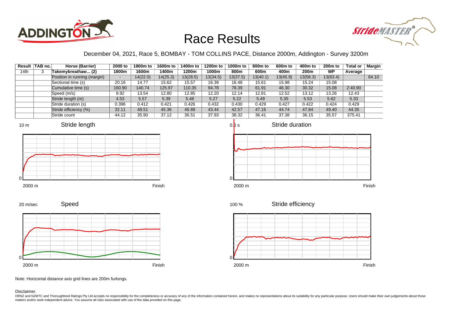



#### December 04, 2021, Race 5, BOMBAY - TOM COLLINS PACE, Distance 2000m, Addington - Survey 3200m

|      | Result TAB no. | Horse (Barrier)              | 2000 to | 1800m to | 1600m to | 1400m to | 1200m to | 1000m to | 800m to  | 600 <sub>m</sub> to | 400m to  | 200 <sub>m</sub> to | <b>Total or</b> | Margin |
|------|----------------|------------------------------|---------|----------|----------|----------|----------|----------|----------|---------------------|----------|---------------------|-----------------|--------|
| 14th |                | Takemybreathaw (2)           | 1800m   | 1600m    | 1400m    | 1200m    | 1000m    | 800m     | 600m     | 400m                | 200m     | <b>WP</b>           | Average         |        |
|      |                | Position in running (margin) |         | 14(22.0) | 14(25.3) | 13(28.5) | 13(34.5) | 13(37.5) | 13(40.1) | 13(45.9)            | 13(56.3) | 13(63.4)            |                 | 64.10  |
|      |                | Sectional time (s)           | 20.16   | 14.77    | 15.62    | 15.57    | 16.39    | 16.48    | 15.61    | 15.98               | 15.24    | 15.08               |                 |        |
|      |                | Cumulative time (s)          | 160.90  | 140.74   | 125.97   | 110.35   | 94.78    | 78.39    | 61.91    | 46.30               | 30.32    | 15.08               | 2:40.90         |        |
|      |                | Speed (m/s)                  | 9.92    | 13.54    | 12.80    | 12.85    | 12.20    | 12.14    | 12.81    | 12.52               | 13.12    | 13.26               | 12.43           |        |
|      |                | Stride length (m)            | 4.53    | 5.57     | 5.39     | 5.48     | 5.27     | 5.22     | 5.49     | 5.35                | 5.53     | 5.62                | 5.33            |        |
|      |                | Stride duration (s)          | 0.396   | 0.412    | 0.421    | 0.426    | 0.432    | 0.430    | 0.429    | 0.427               | 0.422    | 0.424               | 0.429           |        |
|      |                | Stride efficiency (%)        | 32.11   | 48.51    | 45.36    | 46.89    | 43.44    | 42.57    | 47.16    | 44.74               | 47.84    | 49.40               | 44.35           |        |
|      |                | Stride count                 | 44.12   | 35.90    | 37.12    | 36.51    | 37.93    | 38.32    | 36.41    | 37.38               | 36.15    | 35.57               | 375.41          |        |











 $0.\overline{b}$  s



Stride efficiency 100 %

Stride duration



Speed 20 m/sec



Note: Horizontal distance axis grid lines are 200m furlongs.

Disclaimer.